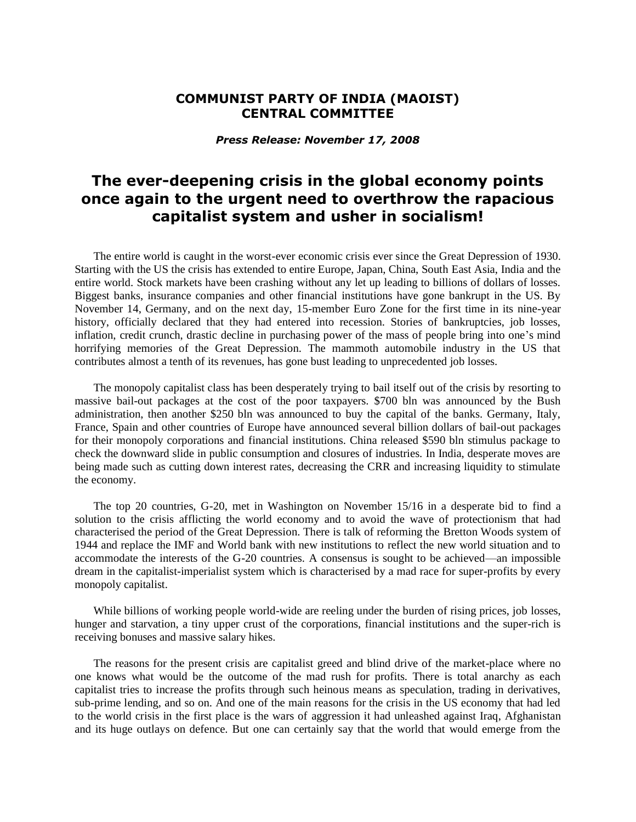## **COMMUNIST PARTY OF INDIA (MAOIST) CENTRAL COMMITTEE**

*Press Release: November 17, 2008*

## **The ever-deepening crisis in the global economy points once again to the urgent need to overthrow the rapacious capitalist system and usher in socialism!**

The entire world is caught in the worst-ever economic crisis ever since the Great Depression of 1930. Starting with the US the crisis has extended to entire Europe, Japan, China, South East Asia, India and the entire world. Stock markets have been crashing without any let up leading to billions of dollars of losses. Biggest banks, insurance companies and other financial institutions have gone bankrupt in the US. By November 14, Germany, and on the next day, 15-member Euro Zone for the first time in its nine-year history, officially declared that they had entered into recession. Stories of bankruptcies, job losses, inflation, credit crunch, drastic decline in purchasing power of the mass of people bring into one's mind horrifying memories of the Great Depression. The mammoth automobile industry in the US that contributes almost a tenth of its revenues, has gone bust leading to unprecedented job losses.

The monopoly capitalist class has been desperately trying to bail itself out of the crisis by resorting to massive bail-out packages at the cost of the poor taxpayers. \$700 bln was announced by the Bush administration, then another \$250 bln was announced to buy the capital of the banks. Germany, Italy, France, Spain and other countries of Europe have announced several billion dollars of bail-out packages for their monopoly corporations and financial institutions. China released \$590 bln stimulus package to check the downward slide in public consumption and closures of industries. In India, desperate moves are being made such as cutting down interest rates, decreasing the CRR and increasing liquidity to stimulate the economy.

The top 20 countries, G-20, met in Washington on November 15/16 in a desperate bid to find a solution to the crisis afflicting the world economy and to avoid the wave of protectionism that had characterised the period of the Great Depression. There is talk of reforming the Bretton Woods system of 1944 and replace the IMF and World bank with new institutions to reflect the new world situation and to accommodate the interests of the G-20 countries. A consensus is sought to be achieved—an impossible dream in the capitalist-imperialist system which is characterised by a mad race for super-profits by every monopoly capitalist.

While billions of working people world-wide are reeling under the burden of rising prices, job losses, hunger and starvation, a tiny upper crust of the corporations, financial institutions and the super-rich is receiving bonuses and massive salary hikes.

The reasons for the present crisis are capitalist greed and blind drive of the market-place where no one knows what would be the outcome of the mad rush for profits. There is total anarchy as each capitalist tries to increase the profits through such heinous means as speculation, trading in derivatives, sub-prime lending, and so on. And one of the main reasons for the crisis in the US economy that had led to the world crisis in the first place is the wars of aggression it had unleashed against Iraq, Afghanistan and its huge outlays on defence. But one can certainly say that the world that would emerge from the